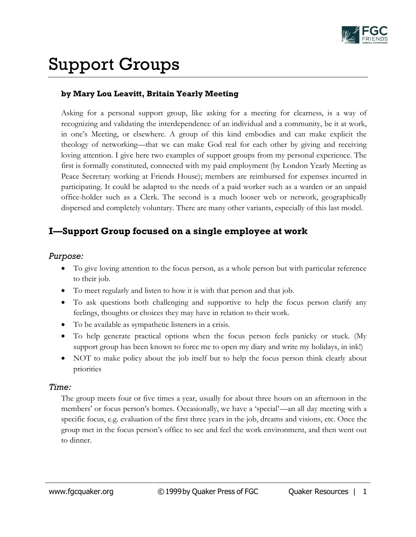

# Support Groups

## **by Mary Lou Leavitt, Britain Yearly Meeting**

Asking for a personal support group, like asking for a meeting for clearness, is a way of recognizing and validating the interdependence of an individual and a community, be it at work, in one's Meeting, or elsewhere. A group of this kind embodies and can make explicit the theology of networking—that we can make God real for each other by giving and receiving loving attention. I give here two examples of support groups from my personal experience. The first is formally constituted, connected with my paid employment (by London Yearly Meeting as Peace Secretary working at Friends House); members are reimbursed for expenses incurred in participating. It could be adapted to the needs of a paid worker such as a warden or an unpaid office-holder such as a Clerk. The second is a much looser web or network, geographically dispersed and completely voluntary. There are many other variants, especially of this last model.

# **I—Support Group focused on a single employee at work**

#### *Purpose:*

- To give loving attention to the focus person, as a whole person but with particular reference to their job.
- To meet regularly and listen to how it is with that person and that job.
- To ask questions both challenging and supportive to help the focus person clarify any feelings, thoughts or choices they may have in relation to their work.
- To be available as sympathetic listeners in a crisis.
- To help generate practical options when the focus person feels panicky or stuck. (My support group has been known to force me to open my diary and write my holidays, in ink!)
- NOT to make policy about the job itself but to help the focus person think clearly about priorities

### *Time:*

The group meets four or five times a year, usually for about three hours on an afternoon in the members' or focus person's homes. Occasionally, we have a 'special'—an all day meeting with a specific focus, e.g. evaluation of the first three years in the job, dreams and visions, etc. Once the group met in the focus person's office to see and feel the work environment, and then went out to dinner.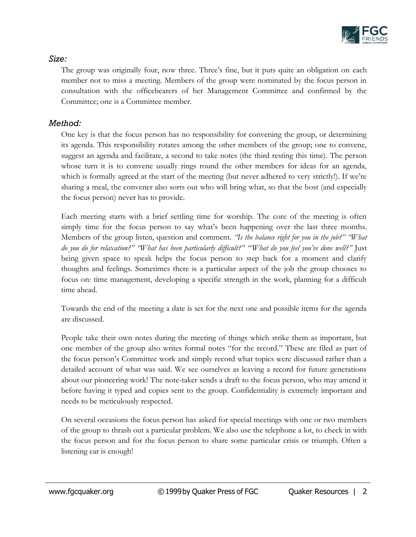

## *Size:*

The group was originally four, now three. Three's fine, but it puts quite an obligation on each member not to miss a meeting. Members of the group were nominated by the focus person in consultation with the officebearers of her Management Committee and confirmed by the Committee; one is a Committee member.

## *Method:*

One key is that the focus person has no responsibility for convening the group, or determining its agenda. This responsibility rotates among the other members of the group; one to convene, suggest an agenda and facilitate, a second to take notes (the third resting this time). The person whose turn it is to convene usually rings round the other members for ideas for an agenda, which is formally agreed at the start of the meeting (but never adhered to very strictly!). If we're sharing a meal, the convener also sorts out who will bring what, so that the host (and especially the focus person) never has to provide.

Each meeting starts with a brief settling time for worship. The core of the meeting is often simply time for the focus person to say what's been happening over the last three months. Members of the group listen, question and comment. *"Is the balance right for you in the job?" "What do you do for relaxation?" "What has been particularly difficult?" "'What do you feel you've done well?"* Just being given space to speak helps the focus person to step back for a moment and clarify thoughts and feelings. Sometimes there is a particular aspect of the job the group chooses to focus on: time management, developing a specific strength in the work, planning for a difficult time ahead.

Towards the end of the meeting a date is set for the next one and possible items for the agenda are discussed.

People take their own notes during the meeting of things which strike them as important, but one member of the group also writes formal notes "for the record." These are filed as part of the focus person's Committee work and simply record what topics were discussed rather than a detailed account of what was said. We see ourselves as leaving a record for future generations about our pioneering work! The note-taker sends a draft to the focus person, who may amend it before having it typed and copies sent to the group. Confidentiality is extremely important and needs to be meticulously respected.

On several occasions the focus person has asked for special meetings with one or two members of the group to thrash out a particular problem. We also use the telephone a lot, to check in with the focus person and for the focus person to share some particular crisis or triumph. Often a listening ear is enough!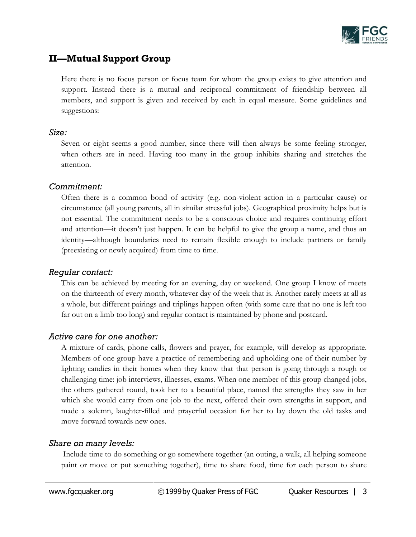

# **II—Mutual Support Group**

Here there is no focus person or focus team for whom the group exists to give attention and support. Instead there is a mutual and reciprocal commitment of friendship between all members, and support is given and received by each in equal measure. Some guidelines and suggestions:

#### *Size:*

Seven or eight seems a good number, since there will then always be some feeling stronger, when others are in need. Having too many in the group inhibits sharing and stretches the attention.

## *Commitment:*

Often there is a common bond of activity (e.g. non-violent action in a particular cause) or circumstance (all young parents, all in similar stressful jobs). Geographical proximity helps but is not essential. The commitment needs to be a conscious choice and requires continuing effort and attention—it doesn't just happen. It can be helpful to give the group a name, and thus an identity—although boundaries need to remain flexible enough to include partners or family (preexisting or newly acquired) from time to time.

## *Regular contact:*

This can be achieved by meeting for an evening, day or weekend. One group I know of meets on the thirteenth of every month, whatever day of the week that is. Another rarely meets at all as a whole, but different pairings and triplings happen often (with some care that no one is left too far out on a limb too long) and regular contact is maintained by phone and postcard.

## *Active care for one another:*

A mixture of cards, phone calls, flowers and prayer, for example, will develop as appropriate. Members of one group have a practice of remembering and upholding one of their number by lighting candies in their homes when they know that that person is going through a rough or challenging time: job interviews, illnesses, exams. When one member of this group changed jobs, the others gathered round, took her to a beautiful place, named the strengths they saw in her which she would carry from one job to the next, offered their own strengths in support, and made a solemn, laughter-filled and prayerful occasion for her to lay down the old tasks and move forward towards new ones.

## *Share on many levels:*

Include time to do something or go somewhere together (an outing, a walk, all helping someone paint or move or put something together), time to share food, time for each person to share